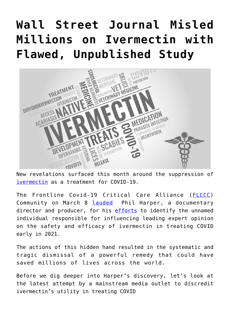# **[Wall Street Journal Misled](https://thevaultproject.org/wall-street-journal-misled-millions-on-ivermectin-with-flawed-unpublished-study/) [Millions on Ivermectin with](https://thevaultproject.org/wall-street-journal-misled-millions-on-ivermectin-with-flawed-unpublished-study/) [Flawed, Unpublished Study](https://thevaultproject.org/wall-street-journal-misled-millions-on-ivermectin-with-flawed-unpublished-study/)**



New revelations surfaced this month around the suppression of [ivermectin](https://thevaultproject.org/ivermectin/) as a treatment for COVID-19.

The Frontline Covid-19 Critical Care Alliance ([FLCCC\)](https://covid19criticalcare.com/) Community on March 8 [lauded](https://flccc.substack.com/p/who-changed-the-scientific-conclusions?s=r) Phil Harper, a documentary director and producer, for his [efforts](https://philharper.substack.com/p/professor-tied-to-altered-andrew?r=nxypy&s=r&utm_campaign=post&utm_medium=web) to identify the unnamed individual responsible for influencing leading expert opinion on the safety and efficacy of ivermectin in treating COVID early in 2021.

The actions of this hidden hand resulted in the systematic and tragic dismissal of a powerful remedy that could have saved millions of lives across the world.

Before we dig deeper into Harper's discovery, let's look at the latest attempt by a mainstream media outlet to discredit ivermectin's utility in treating COVID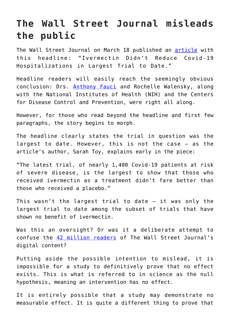### **The Wall Street Journal misleads the public**

The Wall Street Journal on March 18 published an [article](https://www.wsj.com/articles/ivermectin-didnt-reduce-covid-19-hospitalizations-in-largest-trial-to-date-11647601200?fbclid=IwAR3Gp53SojSoVTzqLe0b-iBthYvgR2hAh2rErbTSapv1_vQTKBViTXKddhQ) with this headline: "Ivermectin Didn't Reduce Covid-19 Hospitalizations in Largest Trial to Date."

Headline readers will easily reach the seemingly obvious conclusion: Drs. [Anthony Fauci](https://www.amazon.com/Real-Anthony-Fauci-Democracy-Childrens/dp/1510766804) and Rochelle Walensky, along with the National Institutes of Health (NIH) and the Centers for Disease Control and Prevention, were right all along.

However, for those who read beyond the headline and first few paragraphs, the story begins to morph.

The headline clearly states the trial in question was the largest to date. However, this is not the case — as the article's author, Sarah Toy, explains early in the piece:

"The latest trial, of nearly 1,400 Covid-19 patients at risk of severe disease, is the largest to show that those who received ivermectin as a treatment didn't fare better than those who received a placebo."

This wasn't the largest trial to date  $-$  it was only the largest trial to date among the subset of trials that have shown no benefit of ivermectin.

Was this an oversight? Or was it a deliberate attempt to confuse the [42 million readers](https://images.dowjones.com/wp-content/uploads/sites/183/2018/05/09164150/WSJ.com-Audience-Profile.pdf) of The Wall Street Journal's digital content?

Putting aside the possible intention to mislead, it is impossible for a study to definitively prove that no effect exists. This is what is referred to in science as the null hypothesis, meaning an intervention has no effect.

It is entirely possible that a study may demonstrate no measurable effect. It is quite a different thing to prove that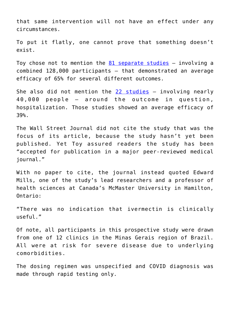that same intervention will not have an effect under any circumstances.

To put it flatly, one cannot prove that something doesn't exist.

Toy chose not to mention the  $81$  separate studies  $-$  involving a combined 128,000 participants — that demonstrated an average efficacy of 65% for several different outcomes.

She also did not mention the [22 studies](https://ivmmeta.com/) — involving nearly 40,000 people — around the outcome in question, hospitalization. Those studies showed an average efficacy of 39%.

The Wall Street Journal did not cite the study that was the focus of its article, because the study hasn't yet been published. Yet Toy assured readers the study has been "accepted for publication in a major peer-reviewed medical journal."

With no paper to cite, the journal instead quoted Edward Mills, one of the study's lead researchers and a professor of health sciences at Canada's McMaster University in Hamilton, Ontario:

"There was no indication that ivermectin is clinically useful."

Of note, all participants in this prospective study were drawn from one of 12 clinics in the Minas Gerais region of Brazil. All were at risk for severe disease due to underlying comorbidities.

The dosing regimen was unspecified and COVID diagnosis was made through rapid testing only.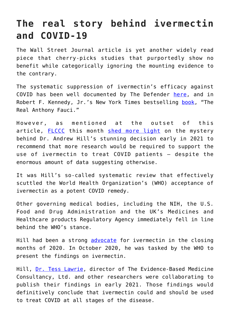### **The real story behind ivermectin and COVID-19**

The Wall Street Journal article is yet another widely read piece that cherry-picks studies that purportedly show no benefit while categorically ignoring the mounting evidence to the contrary.

The systematic suppression of ivermectin's efficacy against COVID has been well documented by The Defender [here](https://childrenshealthdefense.org/defender/ivermectin-big-pharma-rfk-jr-the-real-anthony-fauci/), and in Robert F. Kennedy, Jr.'s New York Times bestselling [book](https://www.amazon.com/Real-Anthony-Fauci-Democracy-Childrens/dp/1510766804), "The Real Anthony Fauci."

However, as mentioned at the outset of this article, [FLCCC](https://covid19criticalcare.com/) this month [shed more light](https://flccc.substack.com/p/who-changed-the-scientific-conclusions?s=r) on the mystery behind Dr. Andrew Hill's stunning decision early in 2021 to recommend that more research would be required to support the use of ivermectin to treat COVID patients — despite the enormous amount of data suggesting otherwise.

It was Hill's so-called systematic review that effectively scuttled the World Health Organization's (WHO) acceptance of ivermectin as a potent COVID remedy.

Other governing medical bodies, including the NIH, the U.S. Food and Drug Administration and the UK's Medicines and Healthcare products Regulatory Agency immediately fell in line behind the WHO's stance.

Hill had been a strong [advocate](https://rumble.com/vu17ze-andrew-hill-presents-to-collaborative-covid-workshop-december-2020.html) for ivermectin in the closing months of 2020. In October 2020, he was tasked by the WHO to present the findings on ivermectin.

Hill, [Dr. Tess Lawrie](https://uk.linkedin.com/in/tess-lawrie-71b53652), director of The Evidence-Based Medicine Consultancy, Ltd. and other researchers were collaborating to publish their findings in early 2021. Those findings would definitively conclude that ivermectin could and should be used to treat COVID at all stages of the disease.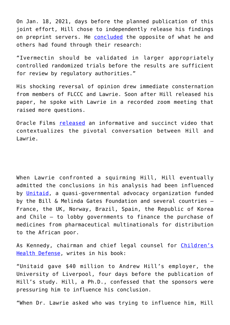On Jan. 18, 2021, days before the planned publication of this joint effort, Hill chose to independently release his findings on preprint servers. He [concluded](https://assets.researchsquare.com/files/rs-148845/v1_covered.pdf?c=1630436503) the opposite of what he and others had found through their research:

"Ivermectin should be validated in larger appropriately controlled randomized trials before the results are sufficient for review by regulatory authorities."

His shocking reversal of opinion drew immediate consternation from members of FLCCC and Lawrie. Soon after Hill released his paper, he spoke with Lawrie in a recorded zoom meeting that raised more questions.

Oracle Films [released](https://www.oraclefilms.com/alettertoandrewhill) an informative and succinct video that contextualizes the pivotal conversation between Hill and Lawrie.

When Lawrie confronted a squirming Hill, Hill eventually admitted the conclusions in his analysis had been influenced by [Unitaid](https://unitaid.org/#en), a quasi-governmental advocacy organization funded by the Bill & Melinda Gates Foundation and several countries — France, the UK, Norway, Brazil, Spain, the Republic of Korea and Chile — to lobby governments to finance the purchase of medicines from pharmaceutical multinationals for distribution to the African poor.

As Kennedy, chairman and chief legal counsel for [Children's](https://childrenshealthdefense.org/) [Health Defense](https://childrenshealthdefense.org/), writes in his book:

"Unitaid gave \$40 million to Andrew Hill's employer, the University of Liverpool, four days before the publication of Hill's study. Hill, a Ph.D., confessed that the sponsors were pressuring him to influence his conclusion.

"When Dr. Lawrie asked who was trying to influence him, Hill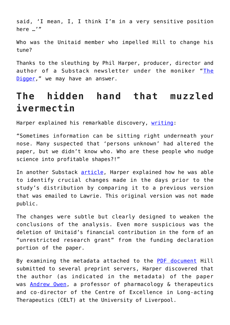said, 'I mean, I, I think I'm in a very sensitive position here …'"

Who was the Unitaid member who impelled Hill to change his tune?

Thanks to the sleuthing by Phil Harper, producer, director and author of a Substack newsletter under the moniker "[The](https://philharper.substack.com/) [Digger](https://philharper.substack.com/)," we may have an answer.

## **The hidden hand that muzzled ivermectin**

Harper explained his remarkable discovery, [writing:](https://philharper.substack.com/p/professor-tied-to-altered-andrew?r=nxypy&s=r)

"Sometimes information can be sitting right underneath your nose. Many suspected that 'persons unknown' had altered the paper, but we didn't know who. Who are these people who nudge science into profitable shapes?!"

In another Substack [article,](https://philharper.substack.com/p/ivermectin-part-3-the-people-behind?utm_source=url&s=r) Harper explained how he was able to identify crucial changes made in the days prior to the study's distribution by comparing it to a previous version that was emailed to Lawrie. This original version was not made public.

The changes were subtle but clearly designed to weaken the conclusions of the analysis. Even more suspicious was the deletion of Unitaid's financial contribution in the form of an "unrestricted research grant" from the funding declaration portion of the paper.

By examining the metadata attached to the [PDF document](https://assets.researchsquare.com/files/rs-148845/v1_covered.pdf?c=1630436503) Hill submitted to several preprint servers, Harper discovered that the author (as indicated in the metadata) of the paper was **[Andrew Owen](https://www.liverpool.ac.uk/systems-molecular-and-integrative-biology/staff/andrew-owen/research/)**, a professor of pharmacology & therapeutics and co-director of the Centre of Excellence in Long-acting Therapeutics (CELT) at the University of Liverpool.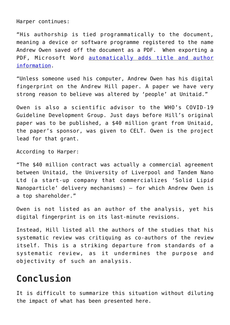Harper continues:

"His authorship is tied programmatically to the document, meaning a device or software programme registered to the name Andrew Owen saved off the document as a PDF. When exporting a PDF, Microsoft Word [automatically adds title and author](https://support.microsoft.com/en-us/office/view-or-change-the-properties-for-an-office-file-21d604c2-481e-4379-8e54-1dd4622c6b75) [information.](https://support.microsoft.com/en-us/office/view-or-change-the-properties-for-an-office-file-21d604c2-481e-4379-8e54-1dd4622c6b75)

"Unless someone used his computer, Andrew Owen has his digital fingerprint on the Andrew Hill paper. A paper we have very strong reason to believe was altered by 'people' at Unitaid."

Owen is also a scientific advisor to the WHO's COVID-19 Guideline Development Group. Just days before Hill's original paper was to be published, a \$40 million grant from Unitaid, the paper's sponsor, was given to CELT. Owen is the project lead for that grant.

According to Harper:

"The \$40 million contract was actually a commercial agreement between Unitaid, the University of Liverpool and Tandem Nano Ltd (a start-up company that commercializes 'Solid Lipid Nanoparticle' delivery mechanisms) — for which Andrew Owen is a top shareholder."

Owen is not listed as an author of the analysis, yet his digital fingerprint is on its last-minute revisions.

Instead, Hill listed all the authors of the studies that his systematic review was critiquing as co-authors of the review itself. This is a striking departure from standards of a systematic review, as it undermines the purpose and objectivity of such an analysis.

### **Conclusion**

It is difficult to summarize this situation without diluting the impact of what has been presented here.